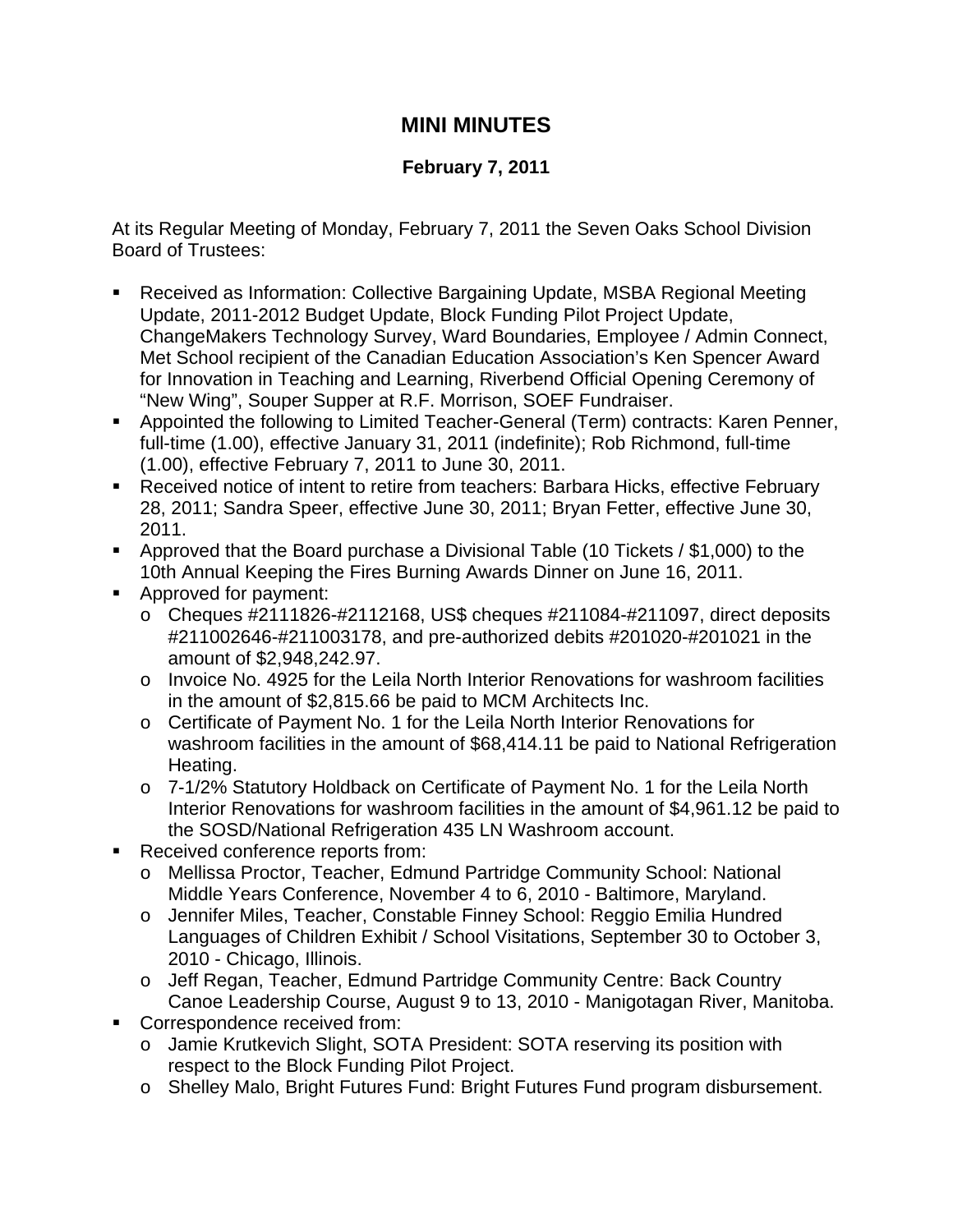## **MINI MINUTES**

## **February 7, 2011**

At its Regular Meeting of Monday, February 7, 2011 the Seven Oaks School Division Board of Trustees:

- Received as Information: Collective Bargaining Update, MSBA Regional Meeting Update, 2011-2012 Budget Update, Block Funding Pilot Project Update, ChangeMakers Technology Survey, Ward Boundaries, Employee / Admin Connect, Met School recipient of the Canadian Education Association's Ken Spencer Award for Innovation in Teaching and Learning, Riverbend Official Opening Ceremony of "New Wing", Souper Supper at R.F. Morrison, SOEF Fundraiser.
- Appointed the following to Limited Teacher-General (Term) contracts: Karen Penner, full-time (1.00), effective January 31, 2011 (indefinite); Rob Richmond, full-time (1.00), effective February 7, 2011 to June 30, 2011.
- Received notice of intent to retire from teachers: Barbara Hicks, effective February 28, 2011; Sandra Speer, effective June 30, 2011; Bryan Fetter, effective June 30, 2011.
- Approved that the Board purchase a Divisional Table (10 Tickets / \$1,000) to the 10th Annual Keeping the Fires Burning Awards Dinner on June 16, 2011.
- **Approved for payment:** 
	- $\circ$  Cheques #2111826-#2112168, US\$ cheques #211084-#211097, direct deposits #211002646-#211003178, and pre-authorized debits #201020-#201021 in the amount of \$2,948,242.97.
	- o Invoice No. 4925 for the Leila North Interior Renovations for washroom facilities in the amount of \$2,815.66 be paid to MCM Architects Inc.
	- o Certificate of Payment No. 1 for the Leila North Interior Renovations for washroom facilities in the amount of \$68,414.11 be paid to National Refrigeration Heating.
	- o 7-1/2% Statutory Holdback on Certificate of Payment No. 1 for the Leila North Interior Renovations for washroom facilities in the amount of \$4,961.12 be paid to the SOSD/National Refrigeration 435 LN Washroom account.
- Received conference reports from:
	- o Mellissa Proctor, Teacher, Edmund Partridge Community School: National Middle Years Conference, November 4 to 6, 2010 - Baltimore, Maryland.
	- o Jennifer Miles, Teacher, Constable Finney School: Reggio Emilia Hundred Languages of Children Exhibit / School Visitations, September 30 to October 3, 2010 - Chicago, Illinois.
	- o Jeff Regan, Teacher, Edmund Partridge Community Centre: Back Country Canoe Leadership Course, August 9 to 13, 2010 - Manigotagan River, Manitoba.
- Correspondence received from:
	- o Jamie Krutkevich Slight, SOTA President: SOTA reserving its position with respect to the Block Funding Pilot Project.
	- o Shelley Malo, Bright Futures Fund: Bright Futures Fund program disbursement.